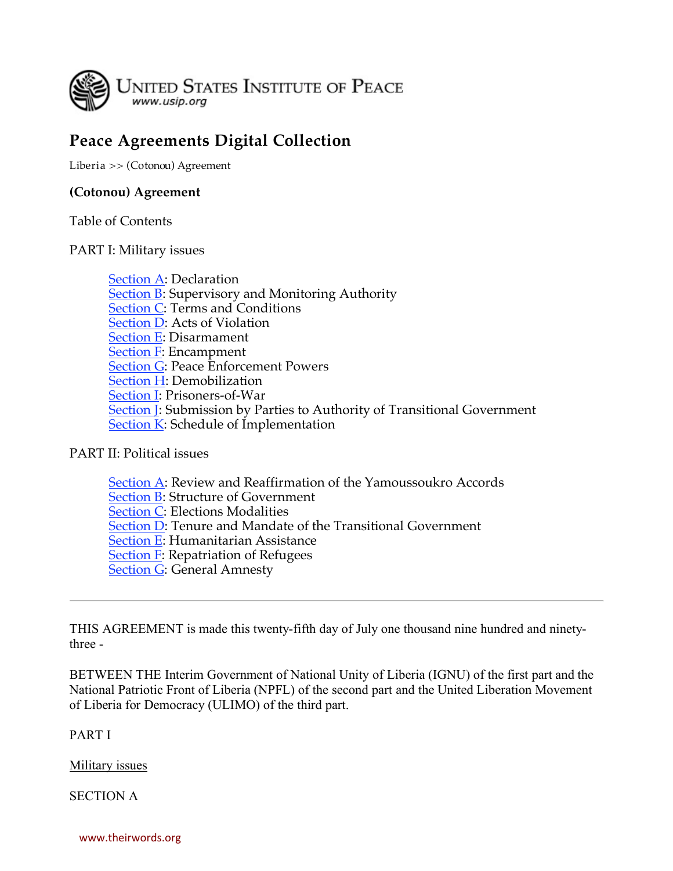

# **Peace Agreements Digital Collection**

Liberia >> (Cotonou) Agreement

#### **(Cotonou) Agreement**

Table of Contents

#### PART I: Military issues

[Section A:](#page-1-0) Declaration **Section B:** Supervisory and Monitoring Authority [Section C:](#page-2-0) Terms and Conditions [Section D:](#page-2-0) Acts of Violation [Section E: D](#page-3-0)isarmament [Section F: E](#page-4-0)ncampment [Section G:](#page-4-0) Peace Enforcement Powers [Section H:](#page-5-0) Demobilization [Section I:](#page-5-0) Prisoners-of-War [Section J:](#page-5-0) Submission by Parties to Authority of Transitional Government [Section K:](#page-6-0) Schedule of Implementation

### PART II: Political issues

[Section A:](#page-6-0) Review and Reaffirmation of the Yamoussoukro Accords [Section B:](#page-6-0) Structure of Government [Section C:](#page-8-0) Elections Modalities [Section D:](#page-8-0) Tenure and Mandate of the Transitional Government [Section E:](#page-8-0) Humanitarian Assistance [Section F:](#page-9-0) Repatriation of Refugees **[Section G:](#page-9-0) General Amnesty** 

THIS AGREEMENT is made this twenty-fifth day of July one thousand nine hundred and ninetythree -

BETWEEN THE Interim Government of National Unity of Liberia (IGNU) of the first part and the National Patriotic Front of Liberia (NPFL) of the second part and the United Liberation Movement of Liberia for Democracy (ULIMO) of the third part.

PART I

Military issues

SECTION A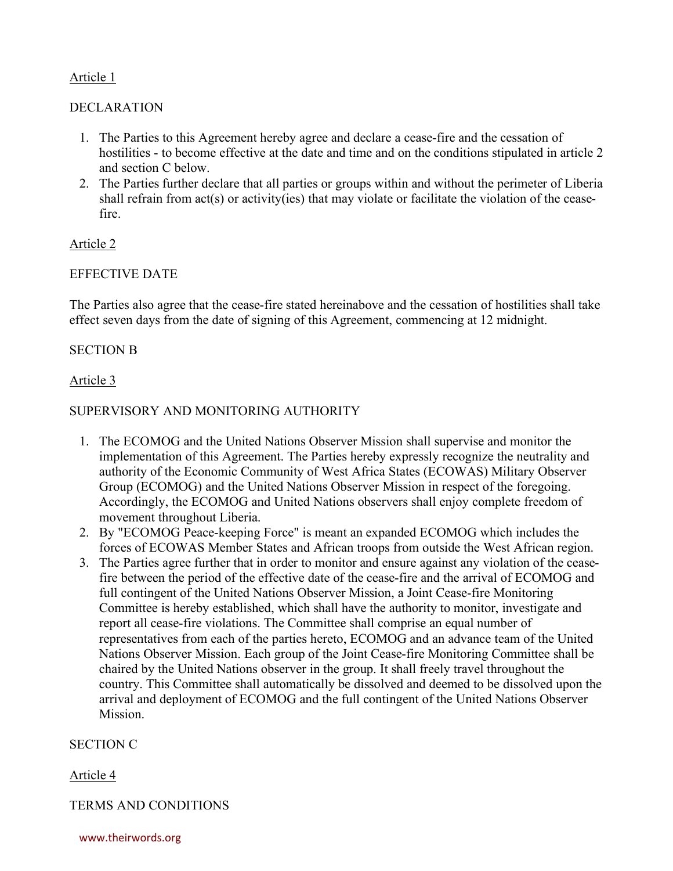### <span id="page-1-0"></span>Article 1

### DECLARATION

- 1. The Parties to this Agreement hereby agree and declare a cease-fire and the cessation of hostilities - to become effective at the date and time and on the conditions stipulated in article 2 and section C below.
- 2. The Parties further declare that all parties or groups within and without the perimeter of Liberia shall refrain from act(s) or activity(ies) that may violate or facilitate the violation of the ceasefire.

### Article 2

### EFFECTIVE DATE

The Parties also agree that the cease-fire stated hereinabove and the cessation of hostilities shall take effect seven days from the date of signing of this Agreement, commencing at 12 midnight.

#### SECTION B

#### Article 3

### SUPERVISORY AND MONITORING AUTHORITY

- 1. The ECOMOG and the United Nations Observer Mission shall supervise and monitor the implementation of this Agreement. The Parties hereby expressly recognize the neutrality and authority of the Economic Community of West Africa States (ECOWAS) Military Observer Group (ECOMOG) and the United Nations Observer Mission in respect of the foregoing. Accordingly, the ECOMOG and United Nations observers shall enjoy complete freedom of movement throughout Liberia.
- 2. By "ECOMOG Peace-keeping Force" is meant an expanded ECOMOG which includes the forces of ECOWAS Member States and African troops from outside the West African region.
- 3. The Parties agree further that in order to monitor and ensure against any violation of the ceasefire between the period of the effective date of the cease-fire and the arrival of ECOMOG and full contingent of the United Nations Observer Mission, a Joint Cease-fire Monitoring Committee is hereby established, which shall have the authority to monitor, investigate and report all cease-fire violations. The Committee shall comprise an equal number of representatives from each of the parties hereto, ECOMOG and an advance team of the United Nations Observer Mission. Each group of the Joint Cease-fire Monitoring Committee shall be chaired by the United Nations observer in the group. It shall freely travel throughout the country. This Committee shall automatically be dissolved and deemed to be dissolved upon the arrival and deployment of ECOMOG and the full contingent of the United Nations Observer Mission.

#### SECTION C

Article 4

TERMS AND CONDITIONS

www.theirwords.org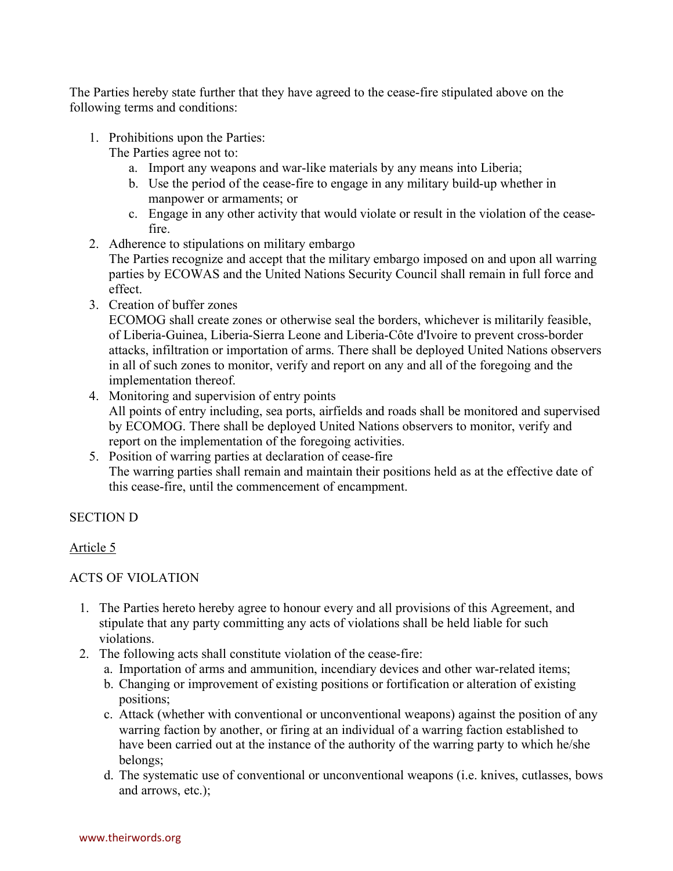<span id="page-2-0"></span>The Parties hereby state further that they have agreed to the cease-fire stipulated above on the following terms and conditions:

1. Prohibitions upon the Parties:

The Parties agree not to:

- a. Import any weapons and war-like materials by any means into Liberia;
- b. Use the period of the cease-fire to engage in any military build-up whether in manpower or armaments; or
- c. Engage in any other activity that would violate or result in the violation of the ceasefire.
- 2. Adherence to stipulations on military embargo

The Parties recognize and accept that the military embargo imposed on and upon all warring parties by ECOWAS and the United Nations Security Council shall remain in full force and effect.

3. Creation of buffer zones

ECOMOG shall create zones or otherwise seal the borders, whichever is militarily feasible, of Liberia-Guinea, Liberia-Sierra Leone and Liberia-Côte d'Ivoire to prevent cross-border attacks, infiltration or importation of arms. There shall be deployed United Nations observers in all of such zones to monitor, verify and report on any and all of the foregoing and the implementation thereof.

- 4. Monitoring and supervision of entry points All points of entry including, sea ports, airfields and roads shall be monitored and supervised by ECOMOG. There shall be deployed United Nations observers to monitor, verify and report on the implementation of the foregoing activities.
- 5. Position of warring parties at declaration of cease-fire The warring parties shall remain and maintain their positions held as at the effective date of this cease-fire, until the commencement of encampment.

# SECTION D

# Article 5

# ACTS OF VIOLATION

- 1. The Parties hereto hereby agree to honour every and all provisions of this Agreement, and stipulate that any party committing any acts of violations shall be held liable for such violations.
- 2. The following acts shall constitute violation of the cease-fire:
	- a. Importation of arms and ammunition, incendiary devices and other war-related items;
	- b. Changing or improvement of existing positions or fortification or alteration of existing positions;
	- c. Attack (whether with conventional or unconventional weapons) against the position of any warring faction by another, or firing at an individual of a warring faction established to have been carried out at the instance of the authority of the warring party to which he/she belongs;
	- d. The systematic use of conventional or unconventional weapons (i.e. knives, cutlasses, bows and arrows, etc.);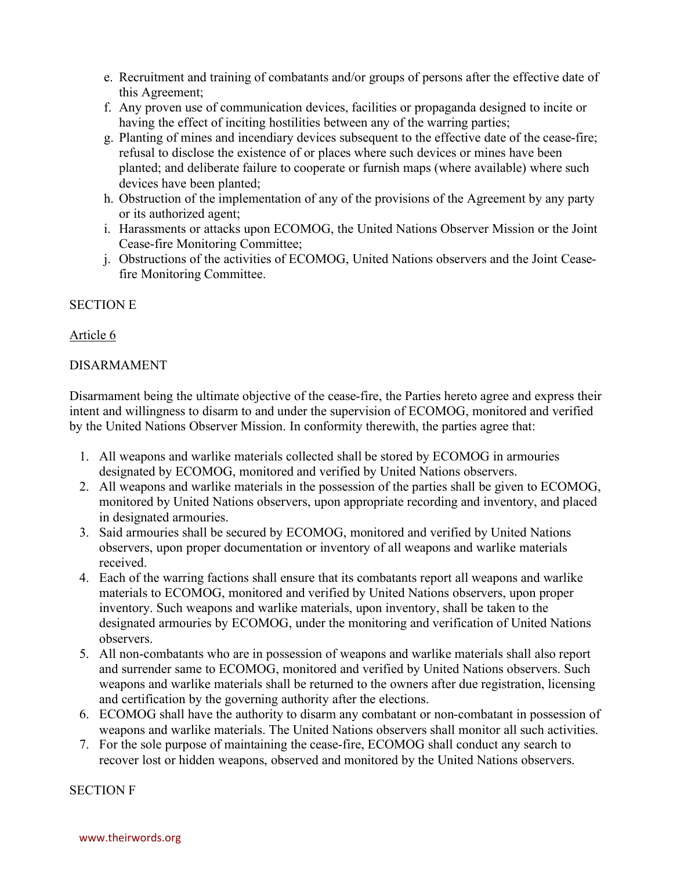- <span id="page-3-0"></span>e. Recruitment and training of combatants and/or groups of persons after the effective date of this Agreement;
- f. Any proven use of communication devices, facilities or propaganda designed to incite or having the effect of inciting hostilities between any of the warring parties;
- g. Planting of mines and incendiary devices subsequent to the effective date of the cease-fire; refusal to disclose the existence of or places where such devices or mines have been planted; and deliberate failure to cooperate or furnish maps (where available) where such devices have been planted;
- h. Obstruction of the implementation of any of the provisions of the Agreement by any party or its authorized agent;
- i. Harassments or attacks upon ECOMOG, the United Nations Observer Mission or the Joint Cease-fire Monitoring Committee;
- j. Obstructions of the activities of ECOMOG, United Nations observers and the Joint Ceasefire Monitoring Committee.

# SECTION E

# Article 6

# DISARMAMENT

Disarmament being the ultimate objective of the cease-fire, the Parties hereto agree and express their intent and willingness to disarm to and under the supervision of ECOMOG, monitored and verified by the United Nations Observer Mission. In conformity therewith, the parties agree that:

- 1. All weapons and warlike materials collected shall be stored by ECOMOG in armouries designated by ECOMOG, monitored and verified by United Nations observers.
- 2. All weapons and warlike materials in the possession of the parties shall be given to ECOMOG, monitored by United Nations observers, upon appropriate recording and inventory, and placed in designated armouries.
- 3. Said armouries shall be secured by ECOMOG, monitored and verified by United Nations observers, upon proper documentation or inventory of all weapons and warlike materials received.
- 4. Each of the warring factions shall ensure that its combatants report all weapons and warlike materials to ECOMOG, monitored and verified by United Nations observers, upon proper inventory. Such weapons and warlike materials, upon inventory, shall be taken to the designated armouries by ECOMOG, under the monitoring and verification of United Nations observers.
- 5. All non-combatants who are in possession of weapons and warlike materials shall also report and surrender same to ECOMOG, monitored and verified by United Nations observers. Such weapons and warlike materials shall be returned to the owners after due registration, licensing and certification by the governing authority after the elections.
- 6. ECOMOG shall have the authority to disarm any combatant or non-combatant in possession of weapons and warlike materials. The United Nations observers shall monitor all such activities.
- 7. For the sole purpose of maintaining the cease-fire, ECOMOG shall conduct any search to recover lost or hidden weapons, observed and monitored by the United Nations observers.

SECTION F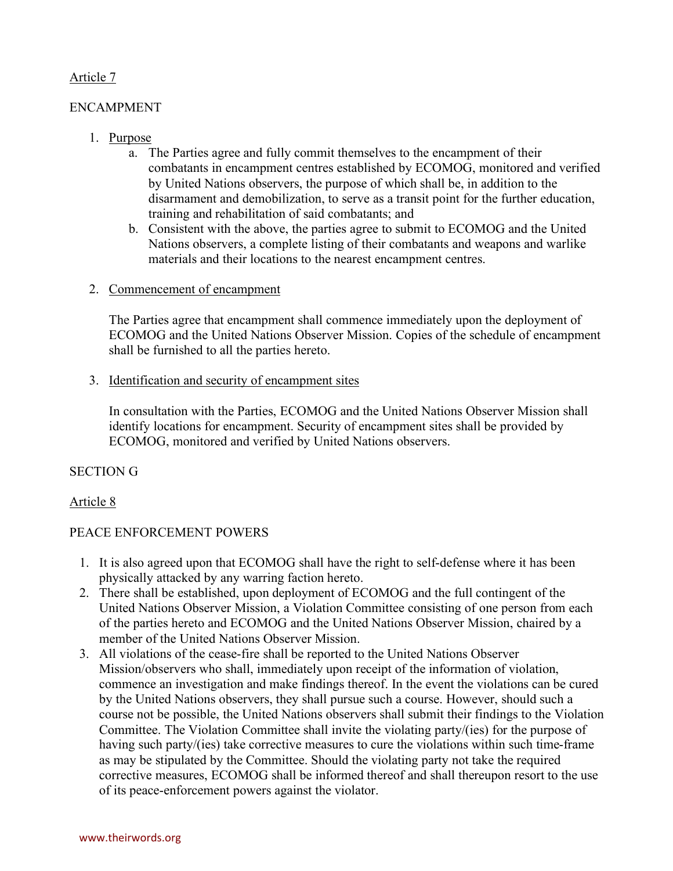### <span id="page-4-0"></span>Article 7

### ENCAMPMENT

### 1. Purpose

- a. The Parties agree and fully commit themselves to the encampment of their combatants in encampment centres established by ECOMOG, monitored and verified by United Nations observers, the purpose of which shall be, in addition to the disarmament and demobilization, to serve as a transit point for the further education, training and rehabilitation of said combatants; and
- b. Consistent with the above, the parties agree to submit to ECOMOG and the United Nations observers, a complete listing of their combatants and weapons and warlike materials and their locations to the nearest encampment centres.

#### 2. Commencement of encampment

The Parties agree that encampment shall commence immediately upon the deployment of ECOMOG and the United Nations Observer Mission. Copies of the schedule of encampment shall be furnished to all the parties hereto.

3. Identification and security of encampment sites

In consultation with the Parties, ECOMOG and the United Nations Observer Mission shall identify locations for encampment. Security of encampment sites shall be provided by ECOMOG, monitored and verified by United Nations observers.

### SECTION G

### Article 8

### PEACE ENFORCEMENT POWERS

- 1. It is also agreed upon that ECOMOG shall have the right to self-defense where it has been physically attacked by any warring faction hereto.
- 2. There shall be established, upon deployment of ECOMOG and the full contingent of the United Nations Observer Mission, a Violation Committee consisting of one person from each of the parties hereto and ECOMOG and the United Nations Observer Mission, chaired by a member of the United Nations Observer Mission.
- 3. All violations of the cease-fire shall be reported to the United Nations Observer Mission/observers who shall, immediately upon receipt of the information of violation, commence an investigation and make findings thereof. In the event the violations can be cured by the United Nations observers, they shall pursue such a course. However, should such a course not be possible, the United Nations observers shall submit their findings to the Violation Committee. The Violation Committee shall invite the violating party/(ies) for the purpose of having such party/(ies) take corrective measures to cure the violations within such time-frame as may be stipulated by the Committee. Should the violating party not take the required corrective measures, ECOMOG shall be informed thereof and shall thereupon resort to the use of its peace-enforcement powers against the violator.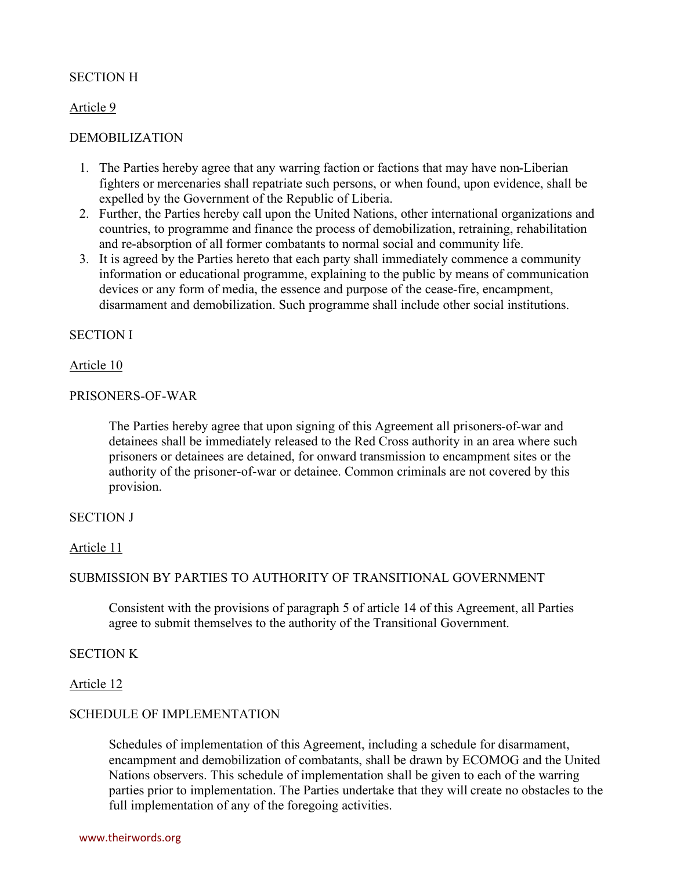### <span id="page-5-0"></span>SECTION H

### Article 9

### DEMOBILIZATION

- 1. The Parties hereby agree that any warring faction or factions that may have non-Liberian fighters or mercenaries shall repatriate such persons, or when found, upon evidence, shall be expelled by the Government of the Republic of Liberia.
- 2. Further, the Parties hereby call upon the United Nations, other international organizations and countries, to programme and finance the process of demobilization, retraining, rehabilitation and re-absorption of all former combatants to normal social and community life.
- 3. It is agreed by the Parties hereto that each party shall immediately commence a community information or educational programme, explaining to the public by means of communication devices or any form of media, the essence and purpose of the cease-fire, encampment, disarmament and demobilization. Such programme shall include other social institutions.

#### SECTION I

#### Article 10

#### PRISONERS-OF-WAR

The Parties hereby agree that upon signing of this Agreement all prisoners-of-war and detainees shall be immediately released to the Red Cross authority in an area where such prisoners or detainees are detained, for onward transmission to encampment sites or the authority of the prisoner-of-war or detainee. Common criminals are not covered by this provision.

#### SECTION J

#### Article 11

### SUBMISSION BY PARTIES TO AUTHORITY OF TRANSITIONAL GOVERNMENT

Consistent with the provisions of paragraph 5 of article 14 of this Agreement, all Parties agree to submit themselves to the authority of the Transitional Government.

#### SECTION K

#### Article 12

#### SCHEDULE OF IMPLEMENTATION

Schedules of implementation of this Agreement, including a schedule for disarmament, encampment and demobilization of combatants, shall be drawn by ECOMOG and the United Nations observers. This schedule of implementation shall be given to each of the warring parties prior to implementation. The Parties undertake that they will create no obstacles to the full implementation of any of the foregoing activities.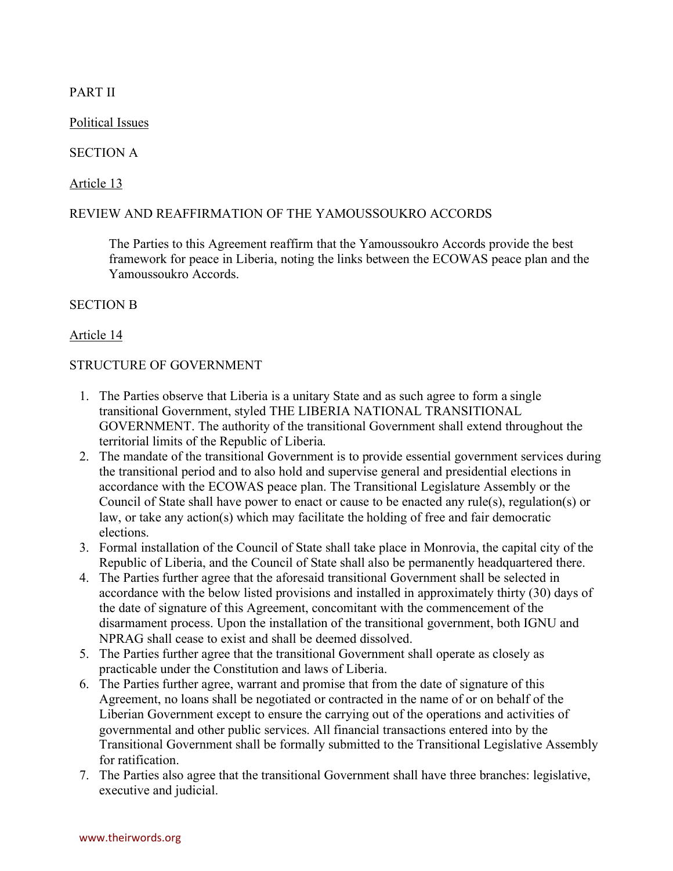# <span id="page-6-0"></span>PART II

### Political Issues

### SECTION A

### Article 13

### REVIEW AND REAFFIRMATION OF THE YAMOUSSOUKRO ACCORDS

The Parties to this Agreement reaffirm that the Yamoussoukro Accords provide the best framework for peace in Liberia, noting the links between the ECOWAS peace plan and the Yamoussoukro Accords.

### SECTION B

### Article 14

### STRUCTURE OF GOVERNMENT

- 1. The Parties observe that Liberia is a unitary State and as such agree to form a single transitional Government, styled THE LIBERIA NATIONAL TRANSITIONAL GOVERNMENT. The authority of the transitional Government shall extend throughout the territorial limits of the Republic of Liberia.
- 2. The mandate of the transitional Government is to provide essential government services during the transitional period and to also hold and supervise general and presidential elections in accordance with the ECOWAS peace plan. The Transitional Legislature Assembly or the Council of State shall have power to enact or cause to be enacted any rule(s), regulation(s) or law, or take any action(s) which may facilitate the holding of free and fair democratic elections.
- 3. Formal installation of the Council of State shall take place in Monrovia, the capital city of the Republic of Liberia, and the Council of State shall also be permanently headquartered there.
- 4. The Parties further agree that the aforesaid transitional Government shall be selected in accordance with the below listed provisions and installed in approximately thirty (30) days of the date of signature of this Agreement, concomitant with the commencement of the disarmament process. Upon the installation of the transitional government, both IGNU and NPRAG shall cease to exist and shall be deemed dissolved.
- 5. The Parties further agree that the transitional Government shall operate as closely as practicable under the Constitution and laws of Liberia.
- 6. The Parties further agree, warrant and promise that from the date of signature of this Agreement, no loans shall be negotiated or contracted in the name of or on behalf of the Liberian Government except to ensure the carrying out of the operations and activities of governmental and other public services. All financial transactions entered into by the Transitional Government shall be formally submitted to the Transitional Legislative Assembly for ratification.
- 7. The Parties also agree that the transitional Government shall have three branches: legislative, executive and judicial.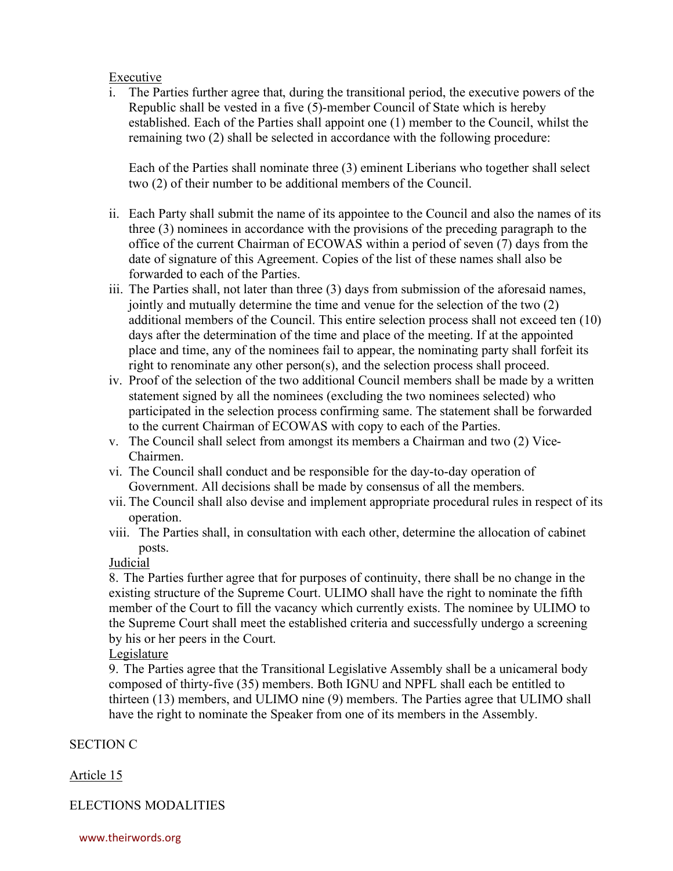#### Executive

i. The Parties further agree that, during the transitional period, the executive powers of the Republic shall be vested in a five (5)-member Council of State which is hereby established. Each of the Parties shall appoint one (1) member to the Council, whilst the remaining two (2) shall be selected in accordance with the following procedure:

Each of the Parties shall nominate three (3) eminent Liberians who together shall select two (2) of their number to be additional members of the Council.

- ii. Each Party shall submit the name of its appointee to the Council and also the names of its three (3) nominees in accordance with the provisions of the preceding paragraph to the office of the current Chairman of ECOWAS within a period of seven (7) days from the date of signature of this Agreement. Copies of the list of these names shall also be forwarded to each of the Parties.
- iii. The Parties shall, not later than three (3) days from submission of the aforesaid names, jointly and mutually determine the time and venue for the selection of the two (2) additional members of the Council. This entire selection process shall not exceed ten (10) days after the determination of the time and place of the meeting. If at the appointed place and time, any of the nominees fail to appear, the nominating party shall forfeit its right to renominate any other person(s), and the selection process shall proceed.
- iv. Proof of the selection of the two additional Council members shall be made by a written statement signed by all the nominees (excluding the two nominees selected) who participated in the selection process confirming same. The statement shall be forwarded to the current Chairman of ECOWAS with copy to each of the Parties.
- v. The Council shall select from amongst its members a Chairman and two (2) Vice-Chairmen.
- vi. The Council shall conduct and be responsible for the day-to-day operation of Government. All decisions shall be made by consensus of all the members.
- vii. The Council shall also devise and implement appropriate procedural rules in respect of its operation.
- viii. The Parties shall, in consultation with each other, determine the allocation of cabinet posts.

### Judicial

8. The Parties further agree that for purposes of continuity, there shall be no change in the existing structure of the Supreme Court. ULIMO shall have the right to nominate the fifth member of the Court to fill the vacancy which currently exists. The nominee by ULIMO to the Supreme Court shall meet the established criteria and successfully undergo a screening by his or her peers in the Court.

### Legislature

9. The Parties agree that the Transitional Legislative Assembly shall be a unicameral body composed of thirty-five (35) members. Both IGNU and NPFL shall each be entitled to thirteen (13) members, and ULIMO nine (9) members. The Parties agree that ULIMO shall have the right to nominate the Speaker from one of its members in the Assembly.

### SECTION C

### Article 15

ELECTIONS MODALITIES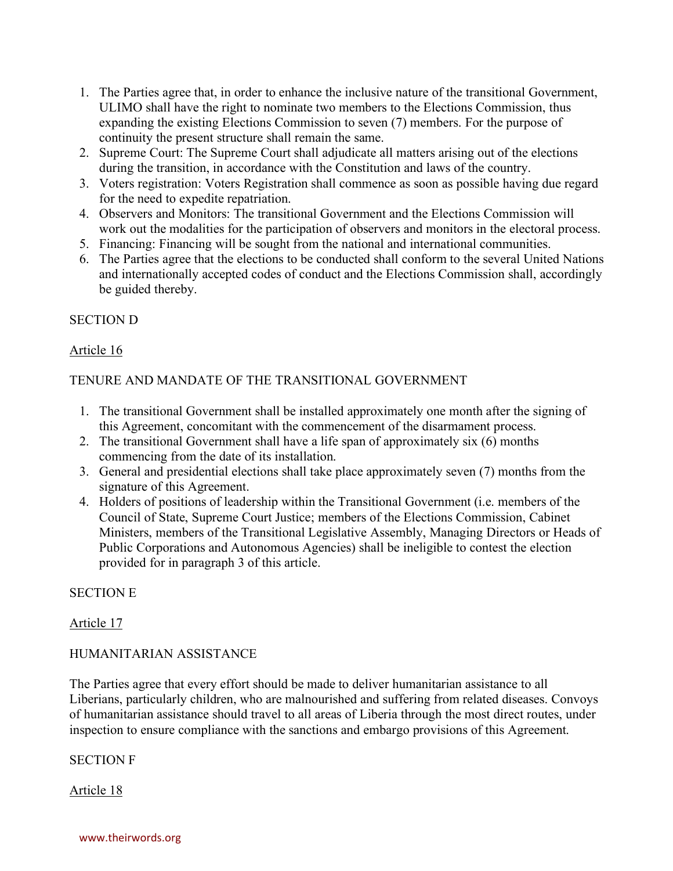- <span id="page-8-0"></span>1. The Parties agree that, in order to enhance the inclusive nature of the transitional Government, ULIMO shall have the right to nominate two members to the Elections Commission, thus expanding the existing Elections Commission to seven (7) members. For the purpose of continuity the present structure shall remain the same.
- 2. Supreme Court: The Supreme Court shall adjudicate all matters arising out of the elections during the transition, in accordance with the Constitution and laws of the country.
- 3. Voters registration: Voters Registration shall commence as soon as possible having due regard for the need to expedite repatriation.
- 4. Observers and Monitors: The transitional Government and the Elections Commission will work out the modalities for the participation of observers and monitors in the electoral process.
- 5. Financing: Financing will be sought from the national and international communities.
- 6. The Parties agree that the elections to be conducted shall conform to the several United Nations and internationally accepted codes of conduct and the Elections Commission shall, accordingly be guided thereby.

# SECTION D

### Article 16

# TENURE AND MANDATE OF THE TRANSITIONAL GOVERNMENT

- 1. The transitional Government shall be installed approximately one month after the signing of this Agreement, concomitant with the commencement of the disarmament process.
- 2. The transitional Government shall have a life span of approximately six (6) months commencing from the date of its installation.
- 3. General and presidential elections shall take place approximately seven (7) months from the signature of this Agreement.
- 4. Holders of positions of leadership within the Transitional Government (i.e. members of the Council of State, Supreme Court Justice; members of the Elections Commission, Cabinet Ministers, members of the Transitional Legislative Assembly, Managing Directors or Heads of Public Corporations and Autonomous Agencies) shall be ineligible to contest the election provided for in paragraph 3 of this article.

### SECTION E

### Article 17

### HUMANITARIAN ASSISTANCE

The Parties agree that every effort should be made to deliver humanitarian assistance to all Liberians, particularly children, who are malnourished and suffering from related diseases. Convoys of humanitarian assistance should travel to all areas of Liberia through the most direct routes, under inspection to ensure compliance with the sanctions and embargo provisions of this Agreement.

#### SECTION F

Article 18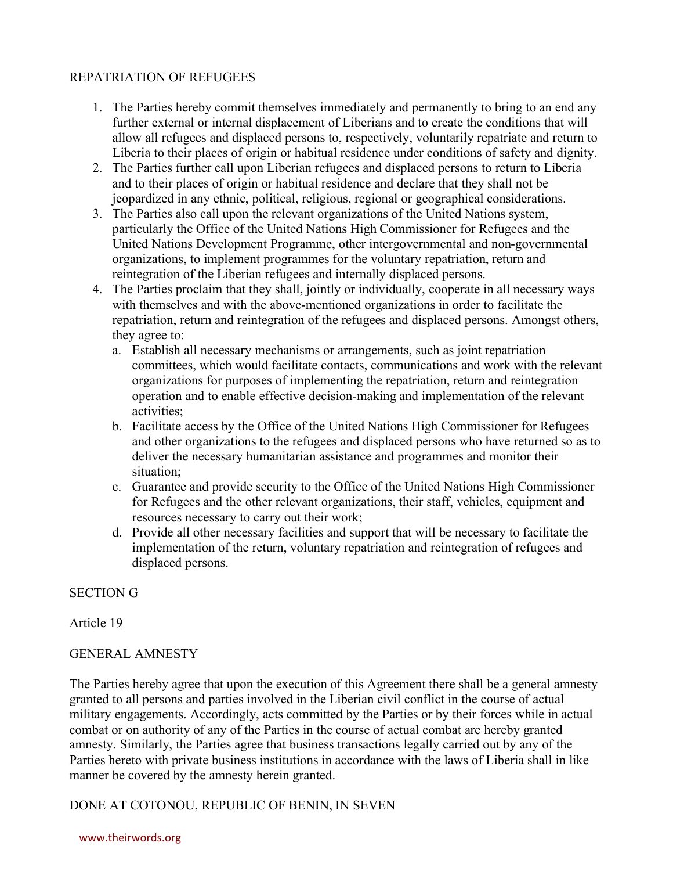### <span id="page-9-0"></span>REPATRIATION OF REFUGEES

- 1. The Parties hereby commit themselves immediately and permanently to bring to an end any further external or internal displacement of Liberians and to create the conditions that will allow all refugees and displaced persons to, respectively, voluntarily repatriate and return to Liberia to their places of origin or habitual residence under conditions of safety and dignity.
- 2. The Parties further call upon Liberian refugees and displaced persons to return to Liberia and to their places of origin or habitual residence and declare that they shall not be jeopardized in any ethnic, political, religious, regional or geographical considerations.
- 3. The Parties also call upon the relevant organizations of the United Nations system, particularly the Office of the United Nations High Commissioner for Refugees and the United Nations Development Programme, other intergovernmental and non-governmental organizations, to implement programmes for the voluntary repatriation, return and reintegration of the Liberian refugees and internally displaced persons.
- 4. The Parties proclaim that they shall, jointly or individually, cooperate in all necessary ways with themselves and with the above-mentioned organizations in order to facilitate the repatriation, return and reintegration of the refugees and displaced persons. Amongst others, they agree to:
	- a. Establish all necessary mechanisms or arrangements, such as joint repatriation committees, which would facilitate contacts, communications and work with the relevant organizations for purposes of implementing the repatriation, return and reintegration operation and to enable effective decision-making and implementation of the relevant activities;
	- b. Facilitate access by the Office of the United Nations High Commissioner for Refugees and other organizations to the refugees and displaced persons who have returned so as to deliver the necessary humanitarian assistance and programmes and monitor their situation;
	- c. Guarantee and provide security to the Office of the United Nations High Commissioner for Refugees and the other relevant organizations, their staff, vehicles, equipment and resources necessary to carry out their work;
	- d. Provide all other necessary facilities and support that will be necessary to facilitate the implementation of the return, voluntary repatriation and reintegration of refugees and displaced persons.

### SECTION G

### Article 19

### GENERAL AMNESTY

The Parties hereby agree that upon the execution of this Agreement there shall be a general amnesty granted to all persons and parties involved in the Liberian civil conflict in the course of actual military engagements. Accordingly, acts committed by the Parties or by their forces while in actual combat or on authority of any of the Parties in the course of actual combat are hereby granted amnesty. Similarly, the Parties agree that business transactions legally carried out by any of the Parties hereto with private business institutions in accordance with the laws of Liberia shall in like manner be covered by the amnesty herein granted.

### DONE AT COTONOU, REPUBLIC OF BENIN, IN SEVEN